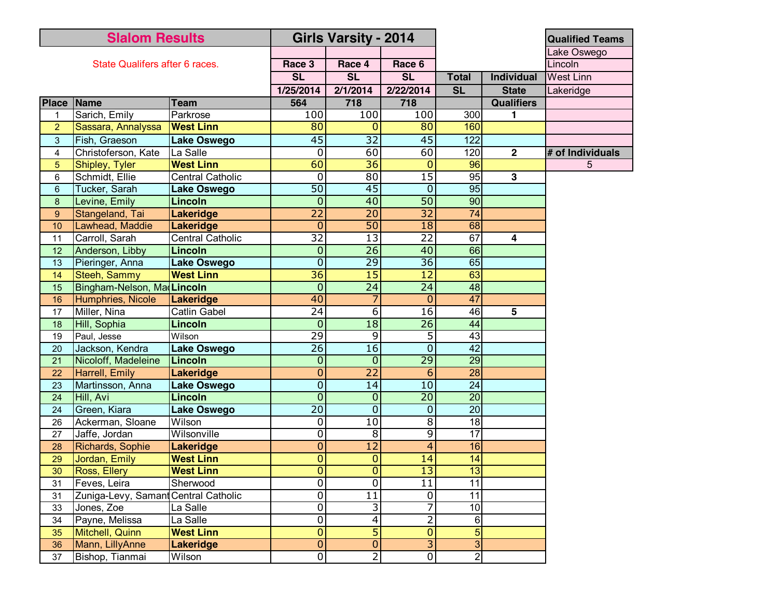| <b>Slalom Results</b>          |                            |                         | <b>Girls Varsity - 2014</b> |                 |                 |                     |                   | <b>Qualified Teams</b> |
|--------------------------------|----------------------------|-------------------------|-----------------------------|-----------------|-----------------|---------------------|-------------------|------------------------|
| State Qualifers after 6 races. |                            |                         |                             |                 |                 |                     |                   | Lake Oswego            |
|                                |                            |                         | Race 3                      | Race 4          | Race 6          |                     |                   | Lincoln                |
|                                |                            |                         | <b>SL</b>                   | <b>SL</b>       | <b>SL</b>       | <b>Total</b>        | <b>Individual</b> | <b>West Linn</b>       |
|                                |                            |                         | 1/25/2014                   | 2/1/2014        | 2/22/2014       | <b>SL</b>           | <b>State</b>      | Lakeridge              |
| <b>Place</b>                   | Name                       | <b>Team</b>             | 564                         | 718             | 718             |                     | <b>Qualifiers</b> |                        |
|                                | Sarich, Emily              | Parkrose                | 100                         | 100             | 100             | 300                 | 1                 |                        |
| $\overline{2}$                 | Sassara, Annalyssa         | <b>West Linn</b>        | 80                          | $\Omega$        | $\overline{80}$ | 160                 |                   |                        |
| 3                              | Fish, Graeson              | <b>Lake Oswego</b>      | 45                          | $\overline{32}$ | 45              | 122                 |                   |                        |
| 4                              | Christoferson, Kate        | La Salle                | $\mathbf 0$                 | 60              | 60              | 120                 | $\mathbf{2}$      | # of Individuals       |
| 5                              | Shipley, Tyler             | <b>West Linn</b>        | 60                          | $\overline{36}$ | $\mathbf 0$     | 96                  |                   | 5                      |
| 6                              | Schmidt, Ellie             | <b>Central Catholic</b> | $\mathbf 0$                 | 80              | $\overline{15}$ | 95                  | $\overline{3}$    |                        |
| 6                              | Tucker, Sarah              | <b>Lake Oswego</b>      | $\overline{50}$             | 45              | $\overline{0}$  | 95                  |                   |                        |
| 8                              | Levine, Emily              | Lincoln                 | $\overline{0}$              | 40              | $\overline{50}$ | 90                  |                   |                        |
| 9                              | Stangeland, Tai            | <b>Lakeridge</b>        | $\overline{22}$             | $\overline{20}$ | $\overline{32}$ | 74                  |                   |                        |
| 10                             | Lawhead, Maddie            | <b>Lakeridge</b>        | $\overline{0}$              | $\overline{50}$ | 18              | 68                  |                   |                        |
| 11                             | Carroll, Sarah             | <b>Central Catholic</b> | 32                          | $\overline{13}$ | $\overline{22}$ | 67                  | 4                 |                        |
| 12                             | Anderson, Libby            | <b>Lincoln</b>          | $\mathbf 0$                 | $\overline{26}$ | 40              | 66                  |                   |                        |
| 13                             | Pieringer, Anna            | <b>Lake Oswego</b>      | $\overline{0}$              | $\overline{29}$ | $\overline{36}$ | 65                  |                   |                        |
| 14                             | Steeh, Sammy               | <b>West Linn</b>        | $\overline{36}$             | $\overline{15}$ | $\overline{12}$ | 63                  |                   |                        |
| 15                             | Bingham-Nelson, Ma Lincoln |                         | $\mathbf 0$                 | $\overline{24}$ | $\overline{24}$ | 48                  |                   |                        |
| 16                             | Humphries, Nicole          | <b>Lakeridge</b>        | 40                          | 7               | $\overline{0}$  | 47                  |                   |                        |
| 17                             | Miller, Nina               | <b>Catlin Gabel</b>     | $\overline{24}$             | $\overline{6}$  | 16              | 46                  | 5                 |                        |
| 18                             | Hill, Sophia               | Lincoln                 | $\mathbf 0$                 | $\overline{18}$ | $\overline{26}$ | 44                  |                   |                        |
| 19                             | Paul, Jesse                | Wilson                  | 29                          | $\overline{9}$  | 5               | 43                  |                   |                        |
| 20                             | Jackson, Kendra            | <b>Lake Oswego</b>      | $\overline{26}$             | $\overline{16}$ | $\overline{0}$  | $\overline{42}$     |                   |                        |
| 21                             | Nicoloff, Madeleine        | Lincoln                 | $\mathbf 0$                 | $\mathbf 0$     | 29              | 29                  |                   |                        |
| 22                             | Harrell, Emily             | Lakeridge               | 0                           | $\overline{22}$ | 6               | 28                  |                   |                        |
| 23                             | Martinsson, Anna           | <b>Lake Oswego</b>      | $\mathbf 0$                 | 14              | 10              | $\overline{24}$     |                   |                        |
| 24                             | Hill, Avi                  | <b>Lincoln</b>          | $\overline{0}$              | $\mathbf 0$     | $\overline{20}$ | 20                  |                   |                        |
| 24                             | Green, Kiara               | <b>Lake Oswego</b>      | $\overline{20}$             | $\overline{0}$  | $\overline{0}$  | $\overline{20}$     |                   |                        |
| 26                             | Ackerman, Sloane           | Wilson                  | 0                           | $\overline{10}$ | $\overline{8}$  | $\frac{1}{8}$       |                   |                        |
| 27                             | Jaffe, Jordan              | Wilsonville             | 0                           | 8               | 9               | 17                  |                   |                        |
| 28                             | Richards, Sophie           | <b>Lakeridge</b>        | $\overline{0}$              | $\overline{12}$ | $\overline{4}$  | 16                  |                   |                        |
| 29                             | Jordan, Emily              | <b>West Linn</b>        | 0                           | $\overline{0}$  | 14              | $\overline{14}$     |                   |                        |
| 30                             | Ross, Ellery               | <b>West Linn</b>        | $\overline{0}$              | $\overline{0}$  | 13              | 13                  |                   |                        |
| 31                             | Feves, Leira               | Sherwood                | $\overline{0}$              | $\overline{0}$  | $\overline{11}$ | $\overline{11}$     |                   |                        |
| 31                             | Zuniga-Levy, Saman         | Central Catholic        | 0                           | $\overline{11}$ | $\overline{0}$  | 11                  |                   |                        |
| 33                             | Jones, Zoe                 | La Salle                | $\overline{0}$              | $\overline{3}$  | 7               | 10                  |                   |                        |
| 34                             | Payne, Melissa             | La Salle                | $\mathbf 0$                 | 4               | $\overline{2}$  | 6                   |                   |                        |
| 35                             | Mitchell, Quinn            | <b>West Linn</b>        | $\mathbf{0}$                | 5               | $\overline{0}$  | 5                   |                   |                        |
| 36                             | Mann, LillyAnne            | Lakeridge               | $\mathbf{0}$                | $\overline{0}$  | $\overline{3}$  | $\overline{\omega}$ |                   |                        |
| 37                             | Bishop, Tianmai            | Wilson                  | 0                           | 2               | $\overline{0}$  | $\overline{2}$      |                   |                        |